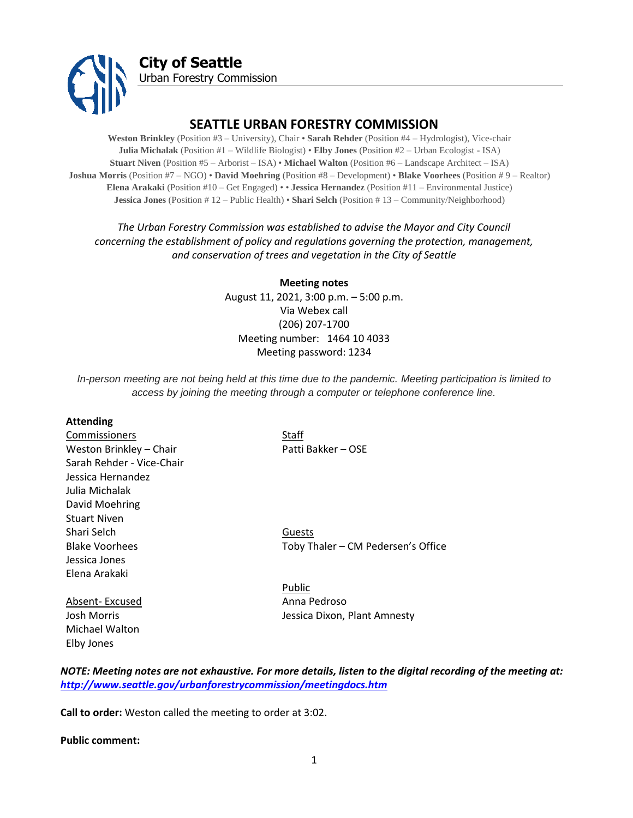

# **SEATTLE URBAN FORESTRY COMMISSION**

**Weston Brinkley** (Position #3 – University), Chair • **Sarah Rehder** (Position #4 – Hydrologist), Vice-chair **Julia Michalak** (Position #1 – Wildlife Biologist) • **Elby Jones** (Position #2 – Urban Ecologist - ISA) **Stuart Niven** (Position #5 – Arborist – ISA) • **Michael Walton** (Position #6 – Landscape Architect – ISA) **Joshua Morris** (Position #7 – NGO) • **David Moehring** (Position #8 – Development) • **Blake Voorhees** (Position # 9 – Realtor) **Elena Arakaki** (Position #10 – Get Engaged) • • **Jessica Hernandez** (Position #11 – Environmental Justice) **Jessica Jones** (Position # 12 – Public Health) • **Shari Selch** (Position # 13 – Community/Neighborhood)

*The Urban Forestry Commission was established to advise the Mayor and City Council concerning the establishment of policy and regulations governing the protection, management, and conservation of trees and vegetation in the City of Seattle*

> **Meeting notes** August 11, 2021, 3:00 p.m. – 5:00 p.m. Via Webex call (206) 207-1700 Meeting number: 1464 10 4033 Meeting password: 1234

*In-person meeting are not being held at this time due to the pandemic. Meeting participation is limited to access by joining the meeting through a computer or telephone conference line.*

#### **Attending**

Commissioners Staff Weston Brinkley – Chair Patti Bakker – OSE Sarah Rehder - Vice-Chair Jessica Hernandez Julia Michalak David Moehring Stuart Niven Shari Selch Guests Jessica Jones Elena Arakaki

Michael Walton Elby Jones

Blake Voorhees Toby Thaler – CM Pedersen's Office

Public Absent- Excused Anna Pedroso Josh Morris Jessica Dixon, Plant Amnesty

*NOTE: Meeting notes are not exhaustive. For more details, listen to the digital recording of the meeting at: <http://www.seattle.gov/urbanforestrycommission/meetingdocs.htm>*

**Call to order:** Weston called the meeting to order at 3:02.

**Public comment:**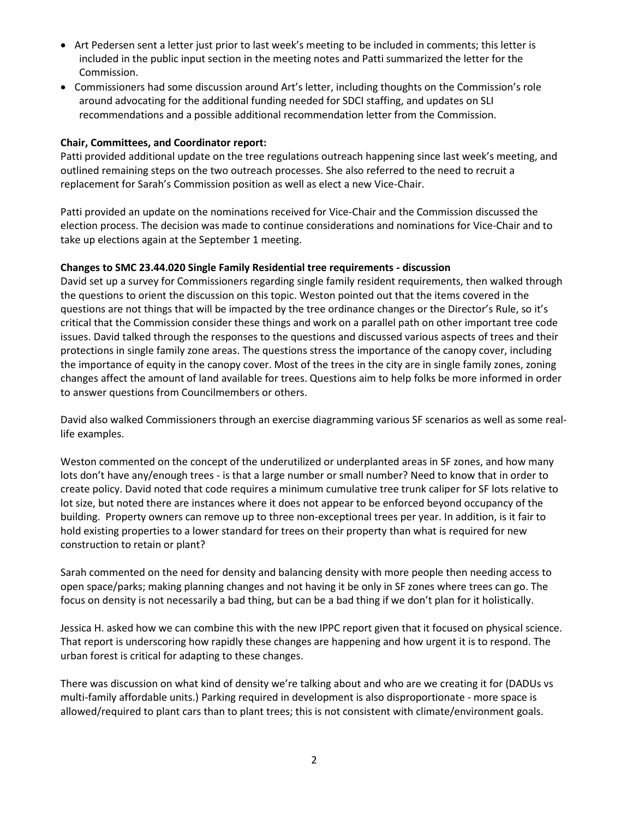- Art Pedersen sent a letter just prior to last week's meeting to be included in comments; this letter is included in the public input section in the meeting notes and Patti summarized the letter for the Commission.
- Commissioners had some discussion around Art's letter, including thoughts on the Commission's role around advocating for the additional funding needed for SDCI staffing, and updates on SLI recommendations and a possible additional recommendation letter from the Commission.

## **Chair, Committees, and Coordinator report:**

Patti provided additional update on the tree regulations outreach happening since last week's meeting, and outlined remaining steps on the two outreach processes. She also referred to the need to recruit a replacement for Sarah's Commission position as well as elect a new Vice-Chair.

Patti provided an update on the nominations received for Vice-Chair and the Commission discussed the election process. The decision was made to continue considerations and nominations for Vice-Chair and to take up elections again at the September 1 meeting.

## **Changes to SMC 23.44.020 Single Family Residential tree requirements - discussion**

David set up a survey for Commissioners regarding single family resident requirements, then walked through the questions to orient the discussion on this topic. Weston pointed out that the items covered in the questions are not things that will be impacted by the tree ordinance changes or the Director's Rule, so it's critical that the Commission consider these things and work on a parallel path on other important tree code issues. David talked through the responses to the questions and discussed various aspects of trees and their protections in single family zone areas. The questions stress the importance of the canopy cover, including the importance of equity in the canopy cover. Most of the trees in the city are in single family zones, zoning changes affect the amount of land available for trees. Questions aim to help folks be more informed in order to answer questions from Councilmembers or others.

David also walked Commissioners through an exercise diagramming various SF scenarios as well as some reallife examples.

Weston commented on the concept of the underutilized or underplanted areas in SF zones, and how many lots don't have any/enough trees - is that a large number or small number? Need to know that in order to create policy. David noted that code requires a minimum cumulative tree trunk caliper for SF lots relative to lot size, but noted there are instances where it does not appear to be enforced beyond occupancy of the building. Property owners can remove up to three non-exceptional trees per year. In addition, is it fair to hold existing properties to a lower standard for trees on their property than what is required for new construction to retain or plant?

Sarah commented on the need for density and balancing density with more people then needing access to open space/parks; making planning changes and not having it be only in SF zones where trees can go. The focus on density is not necessarily a bad thing, but can be a bad thing if we don't plan for it holistically.

Jessica H. asked how we can combine this with the new IPPC report given that it focused on physical science. That report is underscoring how rapidly these changes are happening and how urgent it is to respond. The urban forest is critical for adapting to these changes.

There was discussion on what kind of density we're talking about and who are we creating it for (DADUs vs multi-family affordable units.) Parking required in development is also disproportionate - more space is allowed/required to plant cars than to plant trees; this is not consistent with climate/environment goals.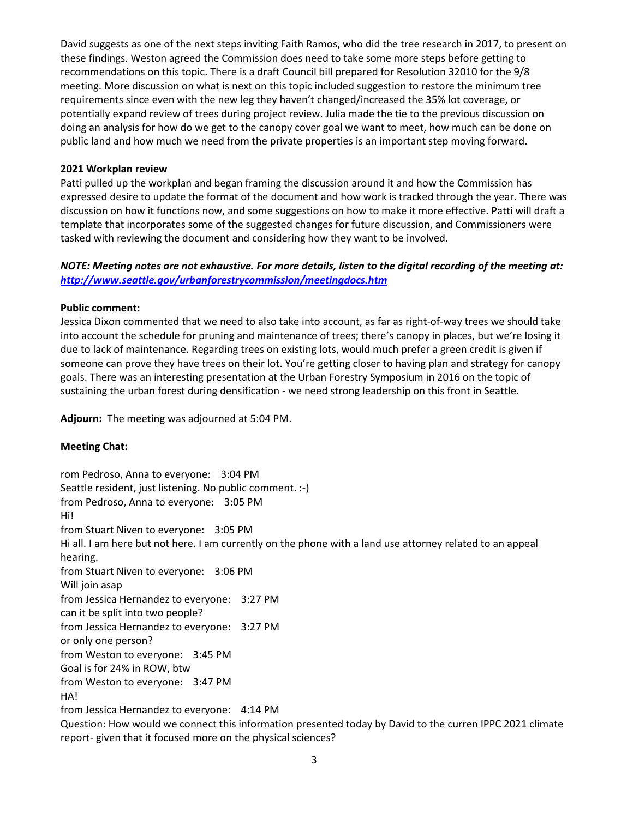David suggests as one of the next steps inviting Faith Ramos, who did the tree research in 2017, to present on these findings. Weston agreed the Commission does need to take some more steps before getting to recommendations on this topic. There is a draft Council bill prepared for Resolution 32010 for the 9/8 meeting. More discussion on what is next on this topic included suggestion to restore the minimum tree requirements since even with the new leg they haven't changed/increased the 35% lot coverage, or potentially expand review of trees during project review. Julia made the tie to the previous discussion on doing an analysis for how do we get to the canopy cover goal we want to meet, how much can be done on public land and how much we need from the private properties is an important step moving forward.

#### **2021 Workplan review**

Patti pulled up the workplan and began framing the discussion around it and how the Commission has expressed desire to update the format of the document and how work is tracked through the year. There was discussion on how it functions now, and some suggestions on how to make it more effective. Patti will draft a template that incorporates some of the suggested changes for future discussion, and Commissioners were tasked with reviewing the document and considering how they want to be involved.

## *NOTE: Meeting notes are not exhaustive. For more details, listen to the digital recording of the meeting at: <http://www.seattle.gov/urbanforestrycommission/meetingdocs.htm>*

#### **Public comment:**

Jessica Dixon commented that we need to also take into account, as far as right-of-way trees we should take into account the schedule for pruning and maintenance of trees; there's canopy in places, but we're losing it due to lack of maintenance. Regarding trees on existing lots, would much prefer a green credit is given if someone can prove they have trees on their lot. You're getting closer to having plan and strategy for canopy goals. There was an interesting presentation at the Urban Forestry Symposium in 2016 on the topic of sustaining the urban forest during densification - we need strong leadership on this front in Seattle.

**Adjourn:** The meeting was adjourned at 5:04 PM.

### **Meeting Chat:**

rom Pedroso, Anna to everyone: 3:04 PM Seattle resident, just listening. No public comment. :-) from Pedroso, Anna to everyone: 3:05 PM Hi! from Stuart Niven to everyone: 3:05 PM Hi all. I am here but not here. I am currently on the phone with a land use attorney related to an appeal hearing. from Stuart Niven to everyone: 3:06 PM Will join asap from Jessica Hernandez to everyone: 3:27 PM can it be split into two people? from Jessica Hernandez to everyone: 3:27 PM or only one person? from Weston to everyone: 3:45 PM Goal is for 24% in ROW, btw from Weston to everyone: 3:47 PM HA! from Jessica Hernandez to everyone: 4:14 PM Question: How would we connect this information presented today by David to the curren IPPC 2021 climate report- given that it focused more on the physical sciences?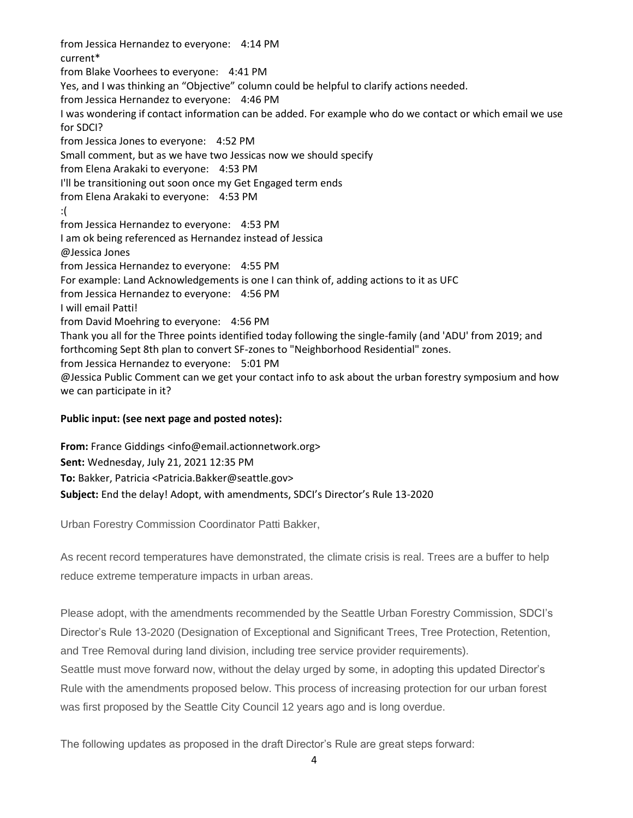from Jessica Hernandez to everyone: 4:14 PM current\* from Blake Voorhees to everyone: 4:41 PM Yes, and I was thinking an "Objective" column could be helpful to clarify actions needed. from Jessica Hernandez to everyone: 4:46 PM I was wondering if contact information can be added. For example who do we contact or which email we use for SDCI? from Jessica Jones to everyone: 4:52 PM Small comment, but as we have two Jessicas now we should specify from Elena Arakaki to everyone: 4:53 PM I'll be transitioning out soon once my Get Engaged term ends from Elena Arakaki to everyone: 4:53 PM :( from Jessica Hernandez to everyone: 4:53 PM I am ok being referenced as Hernandez instead of Jessica @Jessica Jones from Jessica Hernandez to everyone: 4:55 PM For example: Land Acknowledgements is one I can think of, adding actions to it as UFC from Jessica Hernandez to everyone: 4:56 PM I will email Patti! from David Moehring to everyone: 4:56 PM Thank you all for the Three points identified today following the single-family (and 'ADU' from 2019; and forthcoming Sept 8th plan to convert SF-zones to "Neighborhood Residential" zones. from Jessica Hernandez to everyone: 5:01 PM @Jessica Public Comment can we get your contact info to ask about the urban forestry symposium and how we can participate in it?

### **Public input: (see next page and posted notes):**

**From:** France Giddings <info@email.actionnetwork.org> **Sent:** Wednesday, July 21, 2021 12:35 PM **To:** Bakker, Patricia <Patricia.Bakker@seattle.gov> **Subject:** End the delay! Adopt, with amendments, SDCI's Director's Rule 13-2020

Urban Forestry Commission Coordinator Patti Bakker,

As recent record temperatures have demonstrated, the climate crisis is real. Trees are a buffer to help reduce extreme temperature impacts in urban areas.

Please adopt, with the amendments recommended by the Seattle Urban Forestry Commission, SDCI's Director's Rule 13-2020 (Designation of Exceptional and Significant Trees, Tree Protection, Retention, and Tree Removal during land division, including tree service provider requirements).

Seattle must move forward now, without the delay urged by some, in adopting this updated Director's Rule with the amendments proposed below. This process of increasing protection for our urban forest was first proposed by the Seattle City Council 12 years ago and is long overdue.

The following updates as proposed in the draft Director's Rule are great steps forward: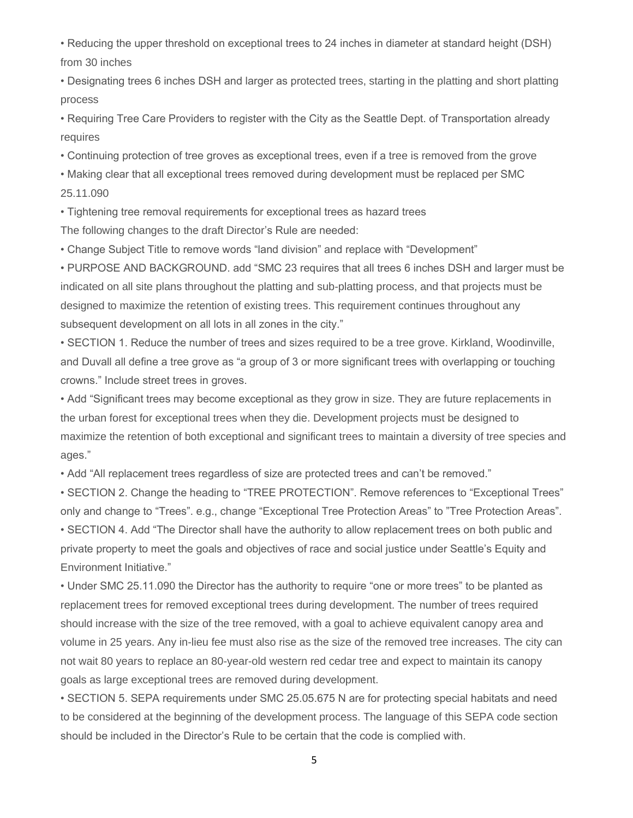• Reducing the upper threshold on exceptional trees to 24 inches in diameter at standard height (DSH) from 30 inches

• Designating trees 6 inches DSH and larger as protected trees, starting in the platting and short platting process

• Requiring Tree Care Providers to register with the City as the Seattle Dept. of Transportation already requires

• Continuing protection of tree groves as exceptional trees, even if a tree is removed from the grove

• Making clear that all exceptional trees removed during development must be replaced per SMC 25.11.090

• Tightening tree removal requirements for exceptional trees as hazard trees

The following changes to the draft Director's Rule are needed:

• Change Subject Title to remove words "land division" and replace with "Development"

• PURPOSE AND BACKGROUND. add "SMC 23 requires that all trees 6 inches DSH and larger must be indicated on all site plans throughout the platting and sub-platting process, and that projects must be designed to maximize the retention of existing trees. This requirement continues throughout any subsequent development on all lots in all zones in the city."

• SECTION 1. Reduce the number of trees and sizes required to be a tree grove. Kirkland, Woodinville, and Duvall all define a tree grove as "a group of 3 or more significant trees with overlapping or touching crowns." Include street trees in groves.

• Add "Significant trees may become exceptional as they grow in size. They are future replacements in the urban forest for exceptional trees when they die. Development projects must be designed to maximize the retention of both exceptional and significant trees to maintain a diversity of tree species and ages."

• Add "All replacement trees regardless of size are protected trees and can't be removed."

• SECTION 2. Change the heading to "TREE PROTECTION". Remove references to "Exceptional Trees" only and change to "Trees". e.g., change "Exceptional Tree Protection Areas" to "Tree Protection Areas". • SECTION 4. Add "The Director shall have the authority to allow replacement trees on both public and private property to meet the goals and objectives of race and social justice under Seattle's Equity and Environment Initiative."

• Under SMC 25.11.090 the Director has the authority to require "one or more trees" to be planted as replacement trees for removed exceptional trees during development. The number of trees required should increase with the size of the tree removed, with a goal to achieve equivalent canopy area and volume in 25 years. Any in-lieu fee must also rise as the size of the removed tree increases. The city can not wait 80 years to replace an 80-year-old western red cedar tree and expect to maintain its canopy goals as large exceptional trees are removed during development.

• SECTION 5. SEPA requirements under SMC 25.05.675 N are for protecting special habitats and need to be considered at the beginning of the development process. The language of this SEPA code section should be included in the Director's Rule to be certain that the code is complied with.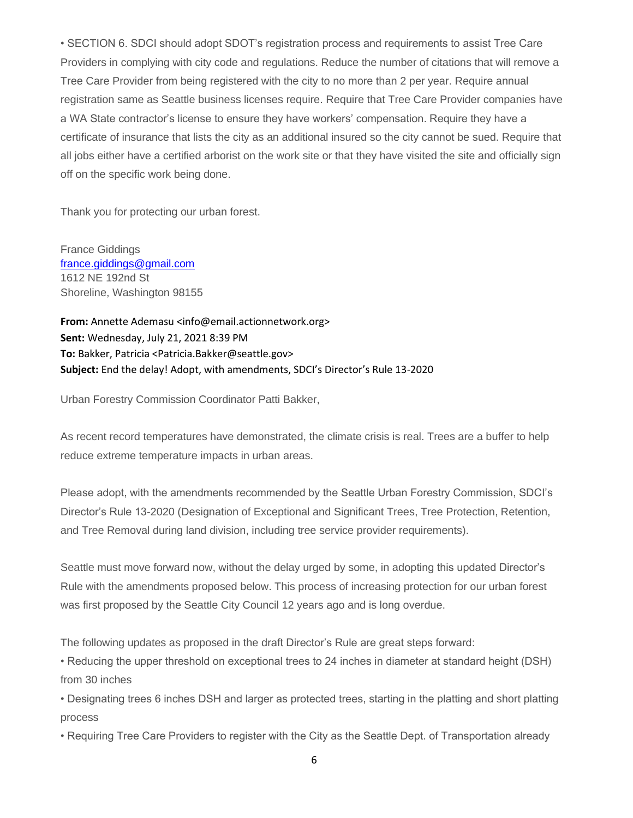• SECTION 6. SDCI should adopt SDOT's registration process and requirements to assist Tree Care Providers in complying with city code and regulations. Reduce the number of citations that will remove a Tree Care Provider from being registered with the city to no more than 2 per year. Require annual registration same as Seattle business licenses require. Require that Tree Care Provider companies have a WA State contractor's license to ensure they have workers' compensation. Require they have a certificate of insurance that lists the city as an additional insured so the city cannot be sued. Require that all jobs either have a certified arborist on the work site or that they have visited the site and officially sign off on the specific work being done.

Thank you for protecting our urban forest.

France Giddings [france.giddings@gmail.com](mailto:france.giddings@gmail.com) 1612 NE 192nd St Shoreline, Washington 98155

**From:** Annette Ademasu <info@email.actionnetwork.org> **Sent:** Wednesday, July 21, 2021 8:39 PM **To:** Bakker, Patricia <Patricia.Bakker@seattle.gov> **Subject:** End the delay! Adopt, with amendments, SDCI's Director's Rule 13-2020

Urban Forestry Commission Coordinator Patti Bakker,

As recent record temperatures have demonstrated, the climate crisis is real. Trees are a buffer to help reduce extreme temperature impacts in urban areas.

Please adopt, with the amendments recommended by the Seattle Urban Forestry Commission, SDCI's Director's Rule 13-2020 (Designation of Exceptional and Significant Trees, Tree Protection, Retention, and Tree Removal during land division, including tree service provider requirements).

Seattle must move forward now, without the delay urged by some, in adopting this updated Director's Rule with the amendments proposed below. This process of increasing protection for our urban forest was first proposed by the Seattle City Council 12 years ago and is long overdue.

The following updates as proposed in the draft Director's Rule are great steps forward:

• Reducing the upper threshold on exceptional trees to 24 inches in diameter at standard height (DSH) from 30 inches

• Designating trees 6 inches DSH and larger as protected trees, starting in the platting and short platting process

• Requiring Tree Care Providers to register with the City as the Seattle Dept. of Transportation already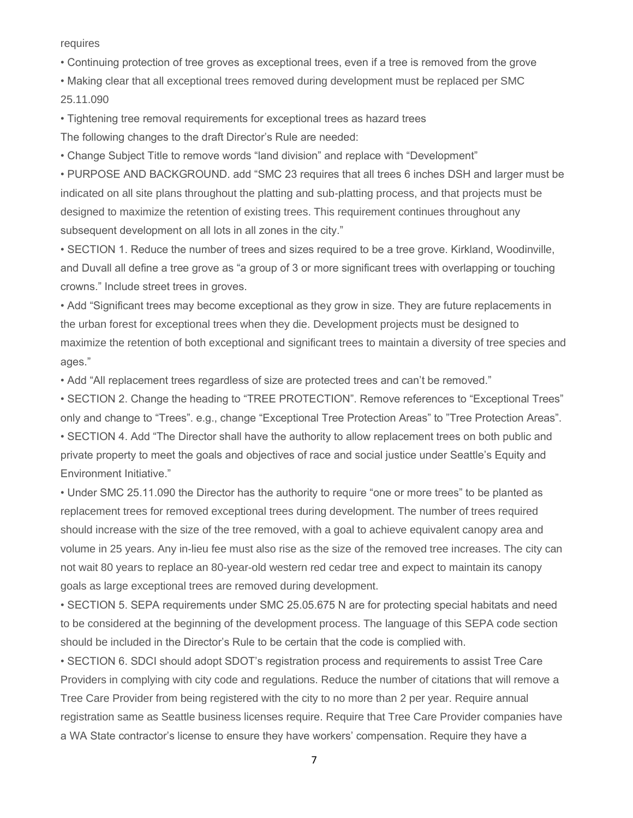requires

• Continuing protection of tree groves as exceptional trees, even if a tree is removed from the grove

• Making clear that all exceptional trees removed during development must be replaced per SMC 25.11.090

• Tightening tree removal requirements for exceptional trees as hazard trees

The following changes to the draft Director's Rule are needed:

• Change Subject Title to remove words "land division" and replace with "Development"

• PURPOSE AND BACKGROUND. add "SMC 23 requires that all trees 6 inches DSH and larger must be indicated on all site plans throughout the platting and sub-platting process, and that projects must be designed to maximize the retention of existing trees. This requirement continues throughout any subsequent development on all lots in all zones in the city."

• SECTION 1. Reduce the number of trees and sizes required to be a tree grove. Kirkland, Woodinville, and Duvall all define a tree grove as "a group of 3 or more significant trees with overlapping or touching crowns." Include street trees in groves.

• Add "Significant trees may become exceptional as they grow in size. They are future replacements in the urban forest for exceptional trees when they die. Development projects must be designed to maximize the retention of both exceptional and significant trees to maintain a diversity of tree species and ages."

• Add "All replacement trees regardless of size are protected trees and can't be removed."

• SECTION 2. Change the heading to "TREE PROTECTION". Remove references to "Exceptional Trees" only and change to "Trees". e.g., change "Exceptional Tree Protection Areas" to "Tree Protection Areas". • SECTION 4. Add "The Director shall have the authority to allow replacement trees on both public and private property to meet the goals and objectives of race and social justice under Seattle's Equity and Environment Initiative."

• Under SMC 25.11.090 the Director has the authority to require "one or more trees" to be planted as replacement trees for removed exceptional trees during development. The number of trees required should increase with the size of the tree removed, with a goal to achieve equivalent canopy area and volume in 25 years. Any in-lieu fee must also rise as the size of the removed tree increases. The city can not wait 80 years to replace an 80-year-old western red cedar tree and expect to maintain its canopy goals as large exceptional trees are removed during development.

• SECTION 5. SEPA requirements under SMC 25.05.675 N are for protecting special habitats and need to be considered at the beginning of the development process. The language of this SEPA code section should be included in the Director's Rule to be certain that the code is complied with.

• SECTION 6. SDCI should adopt SDOT's registration process and requirements to assist Tree Care Providers in complying with city code and regulations. Reduce the number of citations that will remove a Tree Care Provider from being registered with the city to no more than 2 per year. Require annual registration same as Seattle business licenses require. Require that Tree Care Provider companies have a WA State contractor's license to ensure they have workers' compensation. Require they have a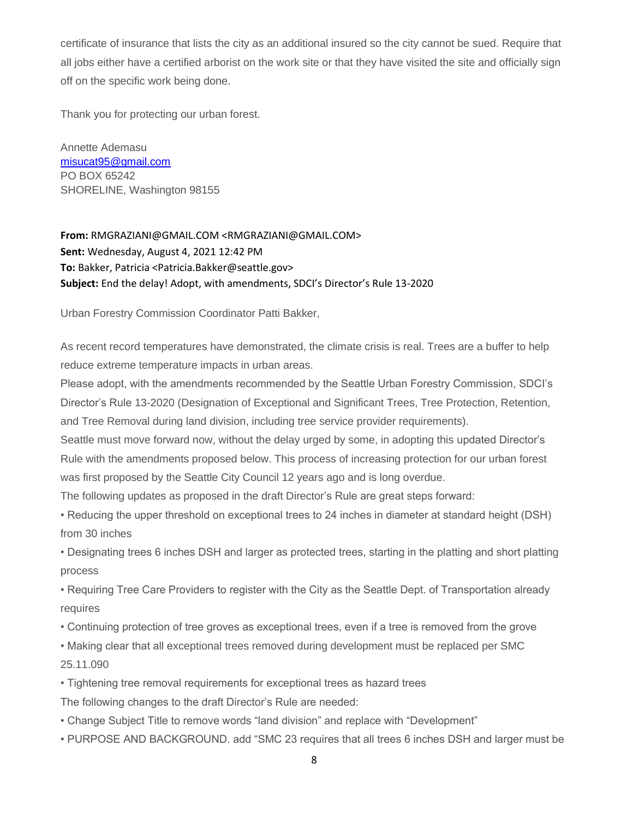certificate of insurance that lists the city as an additional insured so the city cannot be sued. Require that all jobs either have a certified arborist on the work site or that they have visited the site and officially sign off on the specific work being done.

Thank you for protecting our urban forest.

Annette Ademasu [misucat95@gmail.com](mailto:misucat95@gmail.com) PO BOX 65242 SHORELINE, Washington 98155

**From:** RMGRAZIANI@GMAIL.COM <RMGRAZIANI@GMAIL.COM> **Sent:** Wednesday, August 4, 2021 12:42 PM **To:** Bakker, Patricia <Patricia.Bakker@seattle.gov> **Subject:** End the delay! Adopt, with amendments, SDCI's Director's Rule 13-2020

Urban Forestry Commission Coordinator Patti Bakker,

As recent record temperatures have demonstrated, the climate crisis is real. Trees are a buffer to help reduce extreme temperature impacts in urban areas.

Please adopt, with the amendments recommended by the Seattle Urban Forestry Commission, SDCI's Director's Rule 13-2020 (Designation of Exceptional and Significant Trees, Tree Protection, Retention, and Tree Removal during land division, including tree service provider requirements).

Seattle must move forward now, without the delay urged by some, in adopting this updated Director's Rule with the amendments proposed below. This process of increasing protection for our urban forest was first proposed by the Seattle City Council 12 years ago and is long overdue.

The following updates as proposed in the draft Director's Rule are great steps forward:

• Reducing the upper threshold on exceptional trees to 24 inches in diameter at standard height (DSH) from 30 inches

• Designating trees 6 inches DSH and larger as protected trees, starting in the platting and short platting process

• Requiring Tree Care Providers to register with the City as the Seattle Dept. of Transportation already requires

• Continuing protection of tree groves as exceptional trees, even if a tree is removed from the grove

• Making clear that all exceptional trees removed during development must be replaced per SMC 25.11.090

• Tightening tree removal requirements for exceptional trees as hazard trees

The following changes to the draft Director's Rule are needed:

- Change Subject Title to remove words "land division" and replace with "Development"
- PURPOSE AND BACKGROUND. add "SMC 23 requires that all trees 6 inches DSH and larger must be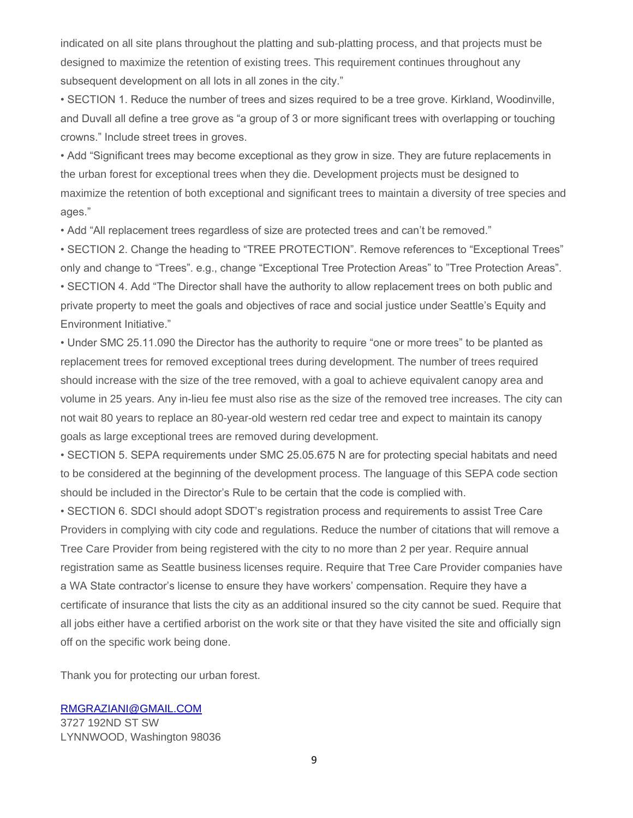indicated on all site plans throughout the platting and sub-platting process, and that projects must be designed to maximize the retention of existing trees. This requirement continues throughout any subsequent development on all lots in all zones in the city."

• SECTION 1. Reduce the number of trees and sizes required to be a tree grove. Kirkland, Woodinville, and Duvall all define a tree grove as "a group of 3 or more significant trees with overlapping or touching crowns." Include street trees in groves.

• Add "Significant trees may become exceptional as they grow in size. They are future replacements in the urban forest for exceptional trees when they die. Development projects must be designed to maximize the retention of both exceptional and significant trees to maintain a diversity of tree species and ages."

• Add "All replacement trees regardless of size are protected trees and can't be removed."

• SECTION 2. Change the heading to "TREE PROTECTION". Remove references to "Exceptional Trees" only and change to "Trees". e.g., change "Exceptional Tree Protection Areas" to "Tree Protection Areas". • SECTION 4. Add "The Director shall have the authority to allow replacement trees on both public and private property to meet the goals and objectives of race and social justice under Seattle's Equity and Environment Initiative."

• Under SMC 25.11.090 the Director has the authority to require "one or more trees" to be planted as replacement trees for removed exceptional trees during development. The number of trees required should increase with the size of the tree removed, with a goal to achieve equivalent canopy area and volume in 25 years. Any in-lieu fee must also rise as the size of the removed tree increases. The city can not wait 80 years to replace an 80-year-old western red cedar tree and expect to maintain its canopy goals as large exceptional trees are removed during development.

• SECTION 5. SEPA requirements under SMC 25.05.675 N are for protecting special habitats and need to be considered at the beginning of the development process. The language of this SEPA code section should be included in the Director's Rule to be certain that the code is complied with.

• SECTION 6. SDCI should adopt SDOT's registration process and requirements to assist Tree Care Providers in complying with city code and regulations. Reduce the number of citations that will remove a Tree Care Provider from being registered with the city to no more than 2 per year. Require annual registration same as Seattle business licenses require. Require that Tree Care Provider companies have a WA State contractor's license to ensure they have workers' compensation. Require they have a certificate of insurance that lists the city as an additional insured so the city cannot be sued. Require that all jobs either have a certified arborist on the work site or that they have visited the site and officially sign off on the specific work being done.

Thank you for protecting our urban forest.

[RMGRAZIANI@GMAIL.COM](mailto:RMGRAZIANI@GMAIL.COM) 3727 192ND ST SW LYNNWOOD, Washington 98036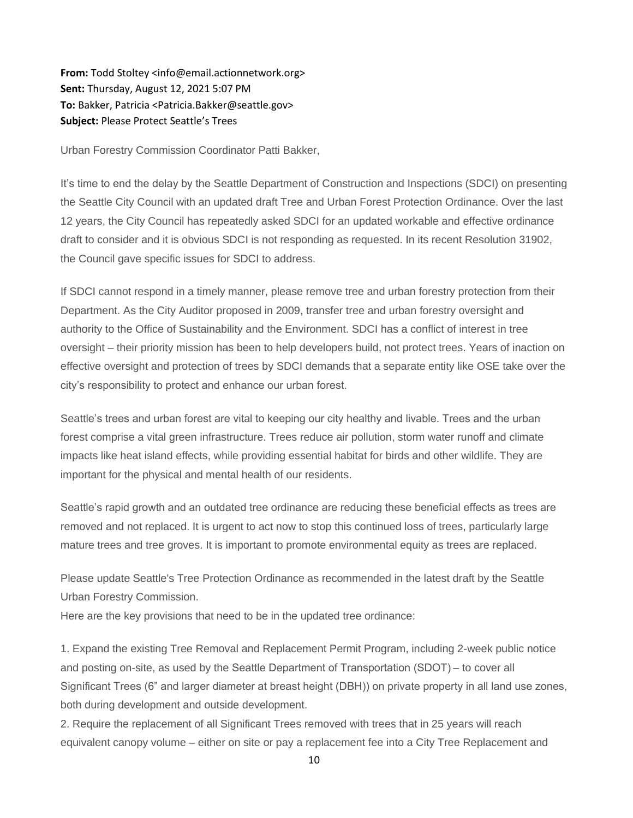**From:** Todd Stoltey <info@email.actionnetwork.org> **Sent:** Thursday, August 12, 2021 5:07 PM **To:** Bakker, Patricia <Patricia.Bakker@seattle.gov> **Subject:** Please Protect Seattle's Trees

Urban Forestry Commission Coordinator Patti Bakker,

It's time to end the delay by the Seattle Department of Construction and Inspections (SDCI) on presenting the Seattle City Council with an updated draft Tree and Urban Forest Protection Ordinance. Over the last 12 years, the City Council has repeatedly asked SDCI for an updated workable and effective ordinance draft to consider and it is obvious SDCI is not responding as requested. In its recent Resolution 31902, the Council gave specific issues for SDCI to address.

If SDCI cannot respond in a timely manner, please remove tree and urban forestry protection from their Department. As the City Auditor proposed in 2009, transfer tree and urban forestry oversight and authority to the Office of Sustainability and the Environment. SDCI has a conflict of interest in tree oversight – their priority mission has been to help developers build, not protect trees. Years of inaction on effective oversight and protection of trees by SDCI demands that a separate entity like OSE take over the city's responsibility to protect and enhance our urban forest.

Seattle's trees and urban forest are vital to keeping our city healthy and livable. Trees and the urban forest comprise a vital green infrastructure. Trees reduce air pollution, storm water runoff and climate impacts like heat island effects, while providing essential habitat for birds and other wildlife. They are important for the physical and mental health of our residents.

Seattle's rapid growth and an outdated tree ordinance are reducing these beneficial effects as trees are removed and not replaced. It is urgent to act now to stop this continued loss of trees, particularly large mature trees and tree groves. It is important to promote environmental equity as trees are replaced.

Please update Seattle's Tree Protection Ordinance as recommended in the latest draft by the Seattle Urban Forestry Commission.

Here are the key provisions that need to be in the updated tree ordinance:

1. Expand the existing Tree Removal and Replacement Permit Program, including 2-week public notice and posting on-site, as used by the Seattle Department of Transportation (SDOT) – to cover all Significant Trees (6" and larger diameter at breast height (DBH)) on private property in all land use zones, both during development and outside development.

2. Require the replacement of all Significant Trees removed with trees that in 25 years will reach equivalent canopy volume – either on site or pay a replacement fee into a City Tree Replacement and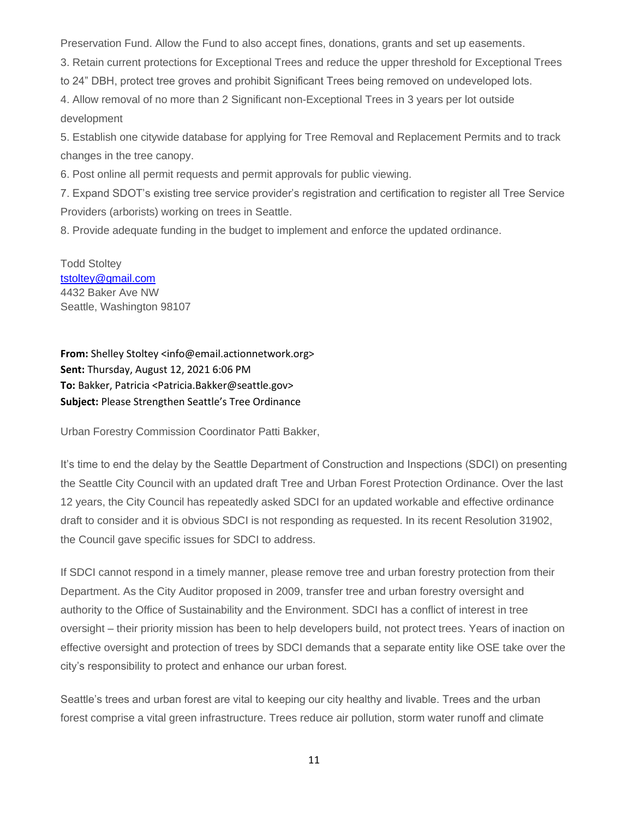Preservation Fund. Allow the Fund to also accept fines, donations, grants and set up easements.

3. Retain current protections for Exceptional Trees and reduce the upper threshold for Exceptional Trees

to 24" DBH, protect tree groves and prohibit Significant Trees being removed on undeveloped lots.

4. Allow removal of no more than 2 Significant non-Exceptional Trees in 3 years per lot outside development

5. Establish one citywide database for applying for Tree Removal and Replacement Permits and to track changes in the tree canopy.

6. Post online all permit requests and permit approvals for public viewing.

7. Expand SDOT's existing tree service provider's registration and certification to register all Tree Service Providers (arborists) working on trees in Seattle.

8. Provide adequate funding in the budget to implement and enforce the updated ordinance.

Todd Stoltey [tstoltey@gmail.com](mailto:tstoltey@gmail.com) 4432 Baker Ave NW Seattle, Washington 98107

**From:** Shelley Stoltey <info@email.actionnetwork.org> **Sent:** Thursday, August 12, 2021 6:06 PM **To:** Bakker, Patricia <Patricia.Bakker@seattle.gov> **Subject:** Please Strengthen Seattle's Tree Ordinance

Urban Forestry Commission Coordinator Patti Bakker,

It's time to end the delay by the Seattle Department of Construction and Inspections (SDCI) on presenting the Seattle City Council with an updated draft Tree and Urban Forest Protection Ordinance. Over the last 12 years, the City Council has repeatedly asked SDCI for an updated workable and effective ordinance draft to consider and it is obvious SDCI is not responding as requested. In its recent Resolution 31902, the Council gave specific issues for SDCI to address.

If SDCI cannot respond in a timely manner, please remove tree and urban forestry protection from their Department. As the City Auditor proposed in 2009, transfer tree and urban forestry oversight and authority to the Office of Sustainability and the Environment. SDCI has a conflict of interest in tree oversight – their priority mission has been to help developers build, not protect trees. Years of inaction on effective oversight and protection of trees by SDCI demands that a separate entity like OSE take over the city's responsibility to protect and enhance our urban forest.

Seattle's trees and urban forest are vital to keeping our city healthy and livable. Trees and the urban forest comprise a vital green infrastructure. Trees reduce air pollution, storm water runoff and climate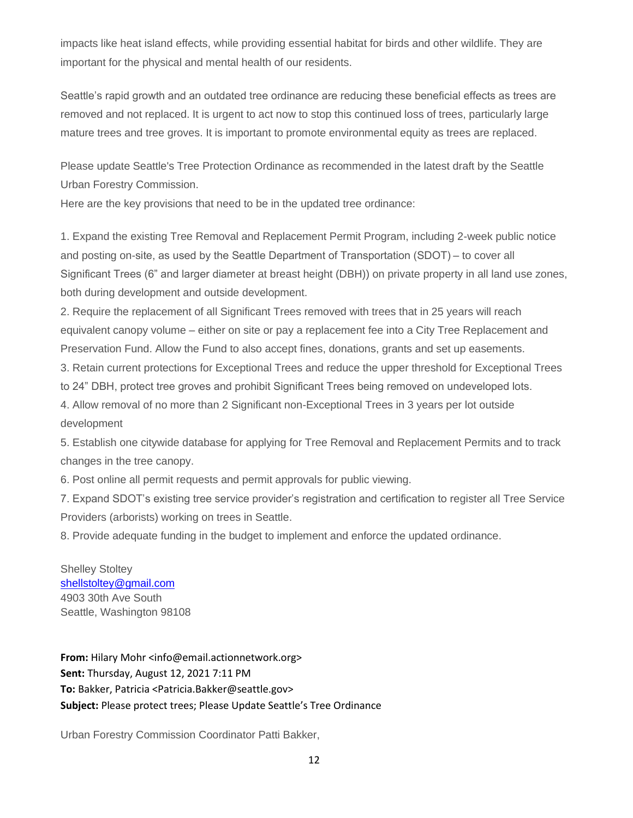impacts like heat island effects, while providing essential habitat for birds and other wildlife. They are important for the physical and mental health of our residents.

Seattle's rapid growth and an outdated tree ordinance are reducing these beneficial effects as trees are removed and not replaced. It is urgent to act now to stop this continued loss of trees, particularly large mature trees and tree groves. It is important to promote environmental equity as trees are replaced.

Please update Seattle's Tree Protection Ordinance as recommended in the latest draft by the Seattle Urban Forestry Commission.

Here are the key provisions that need to be in the updated tree ordinance:

1. Expand the existing Tree Removal and Replacement Permit Program, including 2-week public notice and posting on-site, as used by the Seattle Department of Transportation (SDOT) – to cover all Significant Trees (6" and larger diameter at breast height (DBH)) on private property in all land use zones, both during development and outside development.

2. Require the replacement of all Significant Trees removed with trees that in 25 years will reach equivalent canopy volume – either on site or pay a replacement fee into a City Tree Replacement and Preservation Fund. Allow the Fund to also accept fines, donations, grants and set up easements.

3. Retain current protections for Exceptional Trees and reduce the upper threshold for Exceptional Trees to 24" DBH, protect tree groves and prohibit Significant Trees being removed on undeveloped lots.

4. Allow removal of no more than 2 Significant non-Exceptional Trees in 3 years per lot outside development

5. Establish one citywide database for applying for Tree Removal and Replacement Permits and to track changes in the tree canopy.

6. Post online all permit requests and permit approvals for public viewing.

7. Expand SDOT's existing tree service provider's registration and certification to register all Tree Service Providers (arborists) working on trees in Seattle.

8. Provide adequate funding in the budget to implement and enforce the updated ordinance.

Shelley Stoltey [shellstoltey@gmail.com](mailto:shellstoltey@gmail.com) 4903 30th Ave South Seattle, Washington 98108

**From:** Hilary Mohr <info@email.actionnetwork.org> **Sent:** Thursday, August 12, 2021 7:11 PM **To:** Bakker, Patricia <Patricia.Bakker@seattle.gov> **Subject:** Please protect trees; Please Update Seattle's Tree Ordinance

Urban Forestry Commission Coordinator Patti Bakker,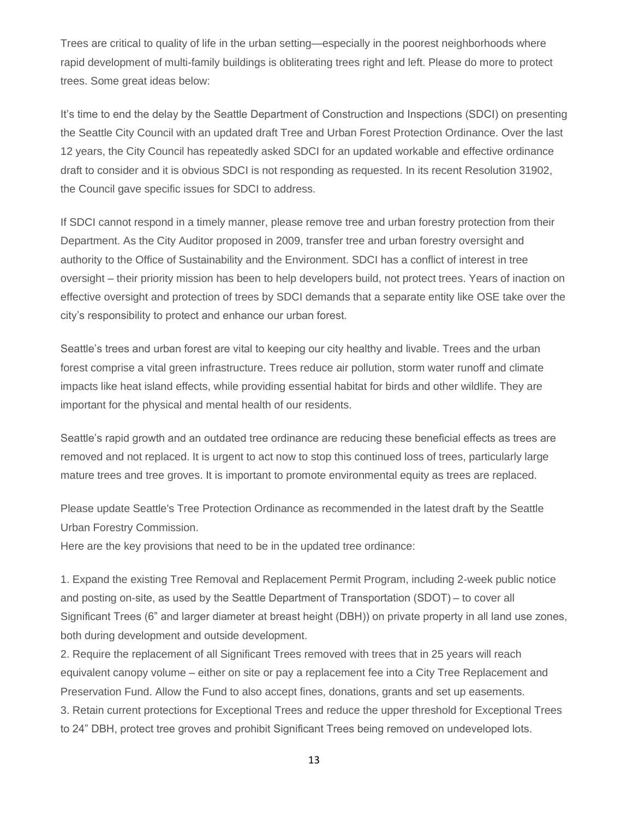Trees are critical to quality of life in the urban setting—especially in the poorest neighborhoods where rapid development of multi-family buildings is obliterating trees right and left. Please do more to protect trees. Some great ideas below:

It's time to end the delay by the Seattle Department of Construction and Inspections (SDCI) on presenting the Seattle City Council with an updated draft Tree and Urban Forest Protection Ordinance. Over the last 12 years, the City Council has repeatedly asked SDCI for an updated workable and effective ordinance draft to consider and it is obvious SDCI is not responding as requested. In its recent Resolution 31902, the Council gave specific issues for SDCI to address.

If SDCI cannot respond in a timely manner, please remove tree and urban forestry protection from their Department. As the City Auditor proposed in 2009, transfer tree and urban forestry oversight and authority to the Office of Sustainability and the Environment. SDCI has a conflict of interest in tree oversight – their priority mission has been to help developers build, not protect trees. Years of inaction on effective oversight and protection of trees by SDCI demands that a separate entity like OSE take over the city's responsibility to protect and enhance our urban forest.

Seattle's trees and urban forest are vital to keeping our city healthy and livable. Trees and the urban forest comprise a vital green infrastructure. Trees reduce air pollution, storm water runoff and climate impacts like heat island effects, while providing essential habitat for birds and other wildlife. They are important for the physical and mental health of our residents.

Seattle's rapid growth and an outdated tree ordinance are reducing these beneficial effects as trees are removed and not replaced. It is urgent to act now to stop this continued loss of trees, particularly large mature trees and tree groves. It is important to promote environmental equity as trees are replaced.

Please update Seattle's Tree Protection Ordinance as recommended in the latest draft by the Seattle Urban Forestry Commission.

Here are the key provisions that need to be in the updated tree ordinance:

1. Expand the existing Tree Removal and Replacement Permit Program, including 2-week public notice and posting on-site, as used by the Seattle Department of Transportation (SDOT) – to cover all Significant Trees (6" and larger diameter at breast height (DBH)) on private property in all land use zones, both during development and outside development.

2. Require the replacement of all Significant Trees removed with trees that in 25 years will reach equivalent canopy volume – either on site or pay a replacement fee into a City Tree Replacement and Preservation Fund. Allow the Fund to also accept fines, donations, grants and set up easements. 3. Retain current protections for Exceptional Trees and reduce the upper threshold for Exceptional Trees to 24" DBH, protect tree groves and prohibit Significant Trees being removed on undeveloped lots.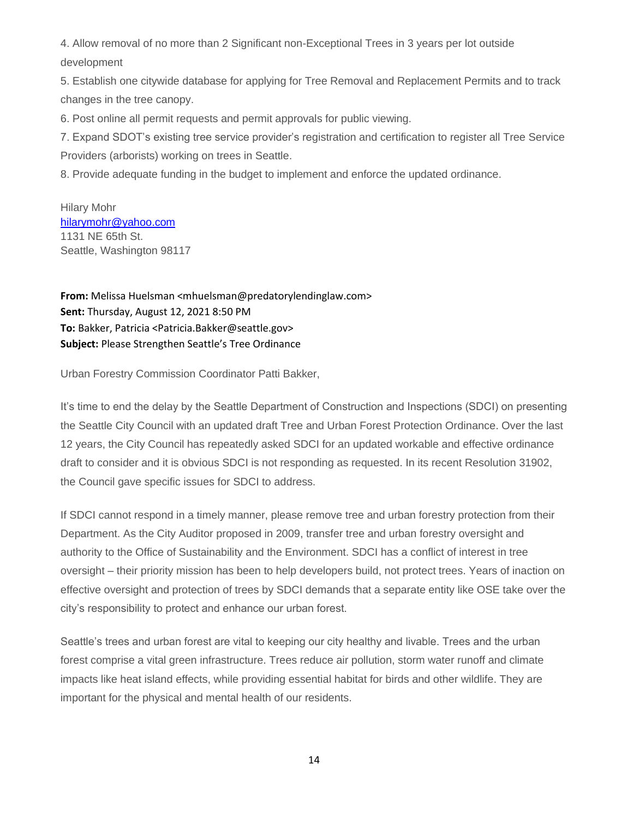4. Allow removal of no more than 2 Significant non-Exceptional Trees in 3 years per lot outside development

5. Establish one citywide database for applying for Tree Removal and Replacement Permits and to track changes in the tree canopy.

6. Post online all permit requests and permit approvals for public viewing.

7. Expand SDOT's existing tree service provider's registration and certification to register all Tree Service Providers (arborists) working on trees in Seattle.

8. Provide adequate funding in the budget to implement and enforce the updated ordinance.

# Hilary Mohr [hilarymohr@yahoo.com](mailto:hilarymohr@yahoo.com) 1131 NE 65th St. Seattle, Washington 98117

**From:** Melissa Huelsman <mhuelsman@predatorylendinglaw.com> **Sent:** Thursday, August 12, 2021 8:50 PM **To:** Bakker, Patricia <Patricia.Bakker@seattle.gov> **Subject:** Please Strengthen Seattle's Tree Ordinance

Urban Forestry Commission Coordinator Patti Bakker,

It's time to end the delay by the Seattle Department of Construction and Inspections (SDCI) on presenting the Seattle City Council with an updated draft Tree and Urban Forest Protection Ordinance. Over the last 12 years, the City Council has repeatedly asked SDCI for an updated workable and effective ordinance draft to consider and it is obvious SDCI is not responding as requested. In its recent Resolution 31902, the Council gave specific issues for SDCI to address.

If SDCI cannot respond in a timely manner, please remove tree and urban forestry protection from their Department. As the City Auditor proposed in 2009, transfer tree and urban forestry oversight and authority to the Office of Sustainability and the Environment. SDCI has a conflict of interest in tree oversight – their priority mission has been to help developers build, not protect trees. Years of inaction on effective oversight and protection of trees by SDCI demands that a separate entity like OSE take over the city's responsibility to protect and enhance our urban forest.

Seattle's trees and urban forest are vital to keeping our city healthy and livable. Trees and the urban forest comprise a vital green infrastructure. Trees reduce air pollution, storm water runoff and climate impacts like heat island effects, while providing essential habitat for birds and other wildlife. They are important for the physical and mental health of our residents.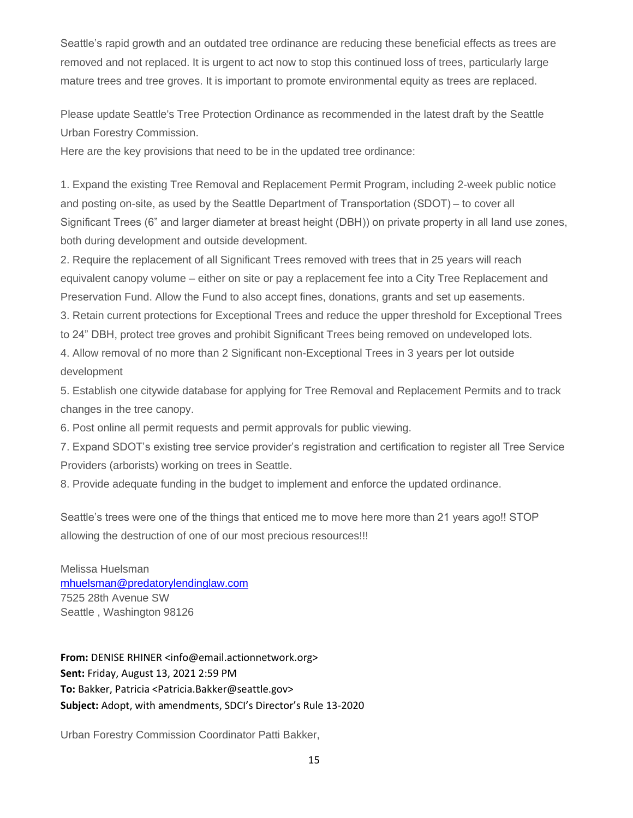Seattle's rapid growth and an outdated tree ordinance are reducing these beneficial effects as trees are removed and not replaced. It is urgent to act now to stop this continued loss of trees, particularly large mature trees and tree groves. It is important to promote environmental equity as trees are replaced.

Please update Seattle's Tree Protection Ordinance as recommended in the latest draft by the Seattle Urban Forestry Commission.

Here are the key provisions that need to be in the updated tree ordinance:

1. Expand the existing Tree Removal and Replacement Permit Program, including 2-week public notice and posting on-site, as used by the Seattle Department of Transportation (SDOT) – to cover all Significant Trees (6" and larger diameter at breast height (DBH)) on private property in all land use zones, both during development and outside development.

2. Require the replacement of all Significant Trees removed with trees that in 25 years will reach equivalent canopy volume – either on site or pay a replacement fee into a City Tree Replacement and Preservation Fund. Allow the Fund to also accept fines, donations, grants and set up easements.

3. Retain current protections for Exceptional Trees and reduce the upper threshold for Exceptional Trees to 24" DBH, protect tree groves and prohibit Significant Trees being removed on undeveloped lots.

4. Allow removal of no more than 2 Significant non-Exceptional Trees in 3 years per lot outside development

5. Establish one citywide database for applying for Tree Removal and Replacement Permits and to track changes in the tree canopy.

6. Post online all permit requests and permit approvals for public viewing.

7. Expand SDOT's existing tree service provider's registration and certification to register all Tree Service Providers (arborists) working on trees in Seattle.

8. Provide adequate funding in the budget to implement and enforce the updated ordinance.

Seattle's trees were one of the things that enticed me to move here more than 21 years ago!! STOP allowing the destruction of one of our most precious resources!!!

Melissa Huelsman [mhuelsman@predatorylendinglaw.com](mailto:mhuelsman@predatorylendinglaw.com) 7525 28th Avenue SW Seattle , Washington 98126

**From:** DENISE RHINER <info@email.actionnetwork.org> **Sent:** Friday, August 13, 2021 2:59 PM **To:** Bakker, Patricia <Patricia.Bakker@seattle.gov> **Subject:** Adopt, with amendments, SDCI's Director's Rule 13-2020

Urban Forestry Commission Coordinator Patti Bakker,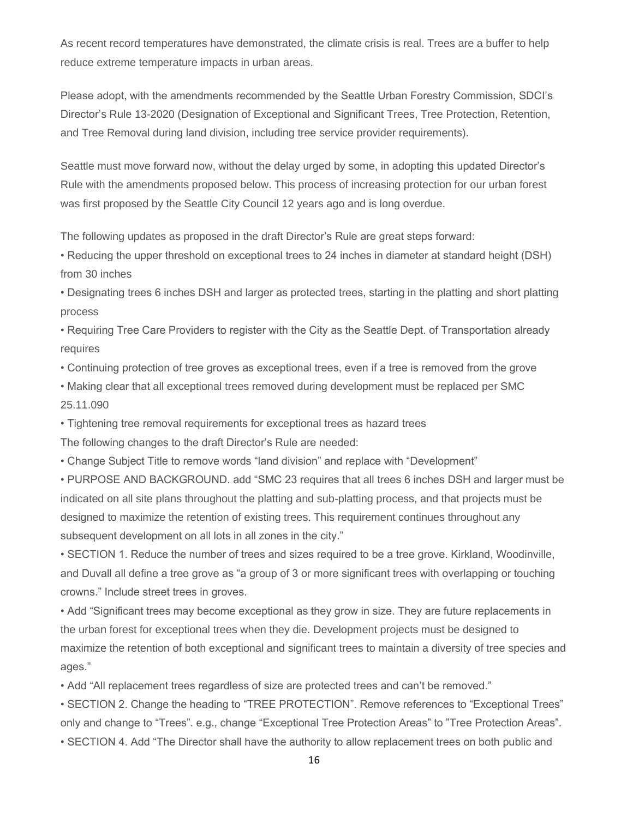As recent record temperatures have demonstrated, the climate crisis is real. Trees are a buffer to help reduce extreme temperature impacts in urban areas.

Please adopt, with the amendments recommended by the Seattle Urban Forestry Commission, SDCI's Director's Rule 13-2020 (Designation of Exceptional and Significant Trees, Tree Protection, Retention, and Tree Removal during land division, including tree service provider requirements).

Seattle must move forward now, without the delay urged by some, in adopting this updated Director's Rule with the amendments proposed below. This process of increasing protection for our urban forest was first proposed by the Seattle City Council 12 years ago and is long overdue.

The following updates as proposed in the draft Director's Rule are great steps forward:

• Reducing the upper threshold on exceptional trees to 24 inches in diameter at standard height (DSH) from 30 inches

• Designating trees 6 inches DSH and larger as protected trees, starting in the platting and short platting process

• Requiring Tree Care Providers to register with the City as the Seattle Dept. of Transportation already requires

• Continuing protection of tree groves as exceptional trees, even if a tree is removed from the grove

• Making clear that all exceptional trees removed during development must be replaced per SMC 25.11.090

• Tightening tree removal requirements for exceptional trees as hazard trees

The following changes to the draft Director's Rule are needed:

• Change Subject Title to remove words "land division" and replace with "Development"

• PURPOSE AND BACKGROUND. add "SMC 23 requires that all trees 6 inches DSH and larger must be indicated on all site plans throughout the platting and sub-platting process, and that projects must be designed to maximize the retention of existing trees. This requirement continues throughout any subsequent development on all lots in all zones in the city."

• SECTION 1. Reduce the number of trees and sizes required to be a tree grove. Kirkland, Woodinville, and Duvall all define a tree grove as "a group of 3 or more significant trees with overlapping or touching crowns." Include street trees in groves.

• Add "Significant trees may become exceptional as they grow in size. They are future replacements in the urban forest for exceptional trees when they die. Development projects must be designed to maximize the retention of both exceptional and significant trees to maintain a diversity of tree species and ages."

• Add "All replacement trees regardless of size are protected trees and can't be removed."

• SECTION 2. Change the heading to "TREE PROTECTION". Remove references to "Exceptional Trees" only and change to "Trees". e.g., change "Exceptional Tree Protection Areas" to "Tree Protection Areas".

• SECTION 4. Add "The Director shall have the authority to allow replacement trees on both public and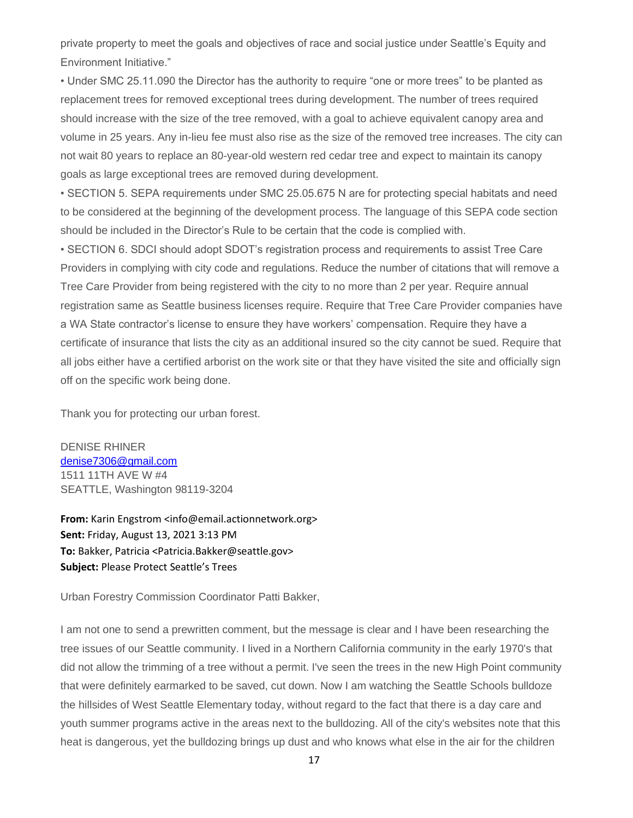private property to meet the goals and objectives of race and social justice under Seattle's Equity and Environment Initiative."

• Under SMC 25.11.090 the Director has the authority to require "one or more trees" to be planted as replacement trees for removed exceptional trees during development. The number of trees required should increase with the size of the tree removed, with a goal to achieve equivalent canopy area and volume in 25 years. Any in-lieu fee must also rise as the size of the removed tree increases. The city can not wait 80 years to replace an 80-year-old western red cedar tree and expect to maintain its canopy goals as large exceptional trees are removed during development.

• SECTION 5. SEPA requirements under SMC 25.05.675 N are for protecting special habitats and need to be considered at the beginning of the development process. The language of this SEPA code section should be included in the Director's Rule to be certain that the code is complied with.

• SECTION 6. SDCI should adopt SDOT's registration process and requirements to assist Tree Care Providers in complying with city code and regulations. Reduce the number of citations that will remove a Tree Care Provider from being registered with the city to no more than 2 per year. Require annual registration same as Seattle business licenses require. Require that Tree Care Provider companies have a WA State contractor's license to ensure they have workers' compensation. Require they have a certificate of insurance that lists the city as an additional insured so the city cannot be sued. Require that all jobs either have a certified arborist on the work site or that they have visited the site and officially sign off on the specific work being done.

Thank you for protecting our urban forest.

DENISE RHINER [denise7306@gmail.com](mailto:denise7306@gmail.com) 1511 11TH AVE W #4 SEATTLE, Washington 98119-3204

**From:** Karin Engstrom <info@email.actionnetwork.org> **Sent:** Friday, August 13, 2021 3:13 PM **To:** Bakker, Patricia <Patricia.Bakker@seattle.gov> **Subject:** Please Protect Seattle's Trees

Urban Forestry Commission Coordinator Patti Bakker,

I am not one to send a prewritten comment, but the message is clear and I have been researching the tree issues of our Seattle community. I lived in a Northern California community in the early 1970's that did not allow the trimming of a tree without a permit. I've seen the trees in the new High Point community that were definitely earmarked to be saved, cut down. Now I am watching the Seattle Schools bulldoze the hillsides of West Seattle Elementary today, without regard to the fact that there is a day care and youth summer programs active in the areas next to the bulldozing. All of the city's websites note that this heat is dangerous, yet the bulldozing brings up dust and who knows what else in the air for the children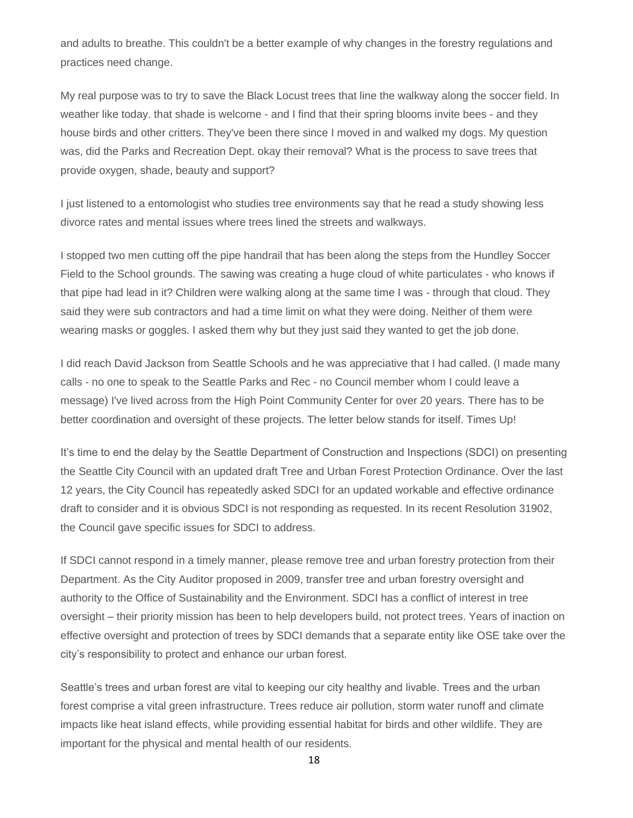and adults to breathe. This couldn't be a better example of why changes in the forestry regulations and practices need change.

My real purpose was to try to save the Black Locust trees that line the walkway along the soccer field. In weather like today. that shade is welcome - and I find that their spring blooms invite bees - and they house birds and other critters. They've been there since I moved in and walked my dogs. My question was, did the Parks and Recreation Dept. okay their removal? What is the process to save trees that provide oxygen, shade, beauty and support?

I just listened to a entomologist who studies tree environments say that he read a study showing less divorce rates and mental issues where trees lined the streets and walkways.

I stopped two men cutting off the pipe handrail that has been along the steps from the Hundley Soccer Field to the School grounds. The sawing was creating a huge cloud of white particulates - who knows if that pipe had lead in it? Children were walking along at the same time I was - through that cloud. They said they were sub contractors and had a time limit on what they were doing. Neither of them were wearing masks or goggles. I asked them why but they just said they wanted to get the job done.

I did reach David Jackson from Seattle Schools and he was appreciative that I had called. (I made many calls - no one to speak to the Seattle Parks and Rec - no Council member whom I could leave a message) I've lived across from the High Point Community Center for over 20 years. There has to be better coordination and oversight of these projects. The letter below stands for itself. Times Up!

It's time to end the delay by the Seattle Department of Construction and Inspections (SDCI) on presenting the Seattle City Council with an updated draft Tree and Urban Forest Protection Ordinance. Over the last 12 years, the City Council has repeatedly asked SDCI for an updated workable and effective ordinance draft to consider and it is obvious SDCI is not responding as requested. In its recent Resolution 31902, the Council gave specific issues for SDCI to address.

If SDCI cannot respond in a timely manner, please remove tree and urban forestry protection from their Department. As the City Auditor proposed in 2009, transfer tree and urban forestry oversight and authority to the Office of Sustainability and the Environment. SDCI has a conflict of interest in tree oversight – their priority mission has been to help developers build, not protect trees. Years of inaction on effective oversight and protection of trees by SDCI demands that a separate entity like OSE take over the city's responsibility to protect and enhance our urban forest.

Seattle's trees and urban forest are vital to keeping our city healthy and livable. Trees and the urban forest comprise a vital green infrastructure. Trees reduce air pollution, storm water runoff and climate impacts like heat island effects, while providing essential habitat for birds and other wildlife. They are important for the physical and mental health of our residents.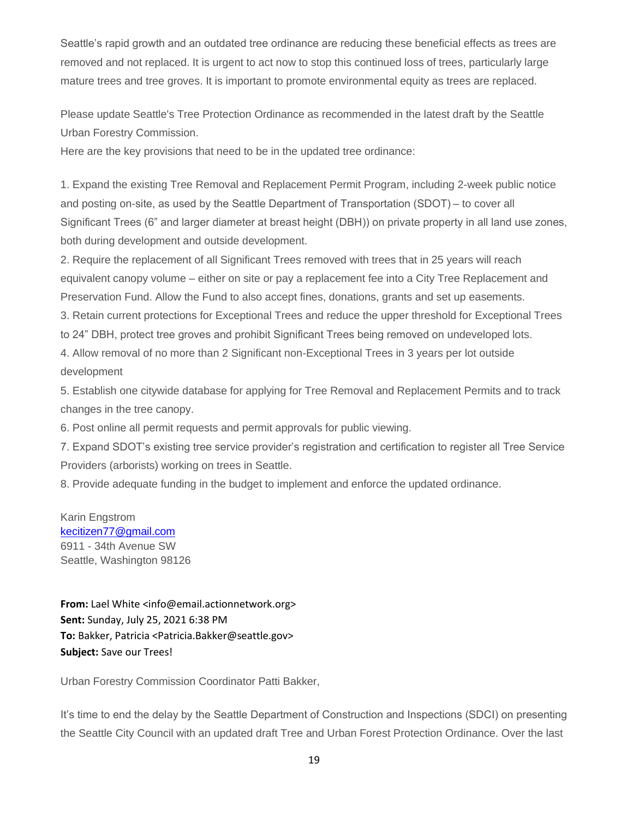Seattle's rapid growth and an outdated tree ordinance are reducing these beneficial effects as trees are removed and not replaced. It is urgent to act now to stop this continued loss of trees, particularly large mature trees and tree groves. It is important to promote environmental equity as trees are replaced.

Please update Seattle's Tree Protection Ordinance as recommended in the latest draft by the Seattle Urban Forestry Commission.

Here are the key provisions that need to be in the updated tree ordinance:

1. Expand the existing Tree Removal and Replacement Permit Program, including 2-week public notice and posting on-site, as used by the Seattle Department of Transportation (SDOT) – to cover all Significant Trees (6" and larger diameter at breast height (DBH)) on private property in all land use zones, both during development and outside development.

2. Require the replacement of all Significant Trees removed with trees that in 25 years will reach equivalent canopy volume – either on site or pay a replacement fee into a City Tree Replacement and Preservation Fund. Allow the Fund to also accept fines, donations, grants and set up easements.

3. Retain current protections for Exceptional Trees and reduce the upper threshold for Exceptional Trees to 24" DBH, protect tree groves and prohibit Significant Trees being removed on undeveloped lots.

4. Allow removal of no more than 2 Significant non-Exceptional Trees in 3 years per lot outside development

5. Establish one citywide database for applying for Tree Removal and Replacement Permits and to track changes in the tree canopy.

6. Post online all permit requests and permit approvals for public viewing.

7. Expand SDOT's existing tree service provider's registration and certification to register all Tree Service Providers (arborists) working on trees in Seattle.

8. Provide adequate funding in the budget to implement and enforce the updated ordinance.

Karin Engstrom [kecitizen77@gmail.com](mailto:kecitizen77@gmail.com) 6911 - 34th Avenue SW Seattle, Washington 98126

**From:** Lael White <info@email.actionnetwork.org> **Sent:** Sunday, July 25, 2021 6:38 PM **To:** Bakker, Patricia <Patricia.Bakker@seattle.gov> **Subject:** Save our Trees!

Urban Forestry Commission Coordinator Patti Bakker,

It's time to end the delay by the Seattle Department of Construction and Inspections (SDCI) on presenting the Seattle City Council with an updated draft Tree and Urban Forest Protection Ordinance. Over the last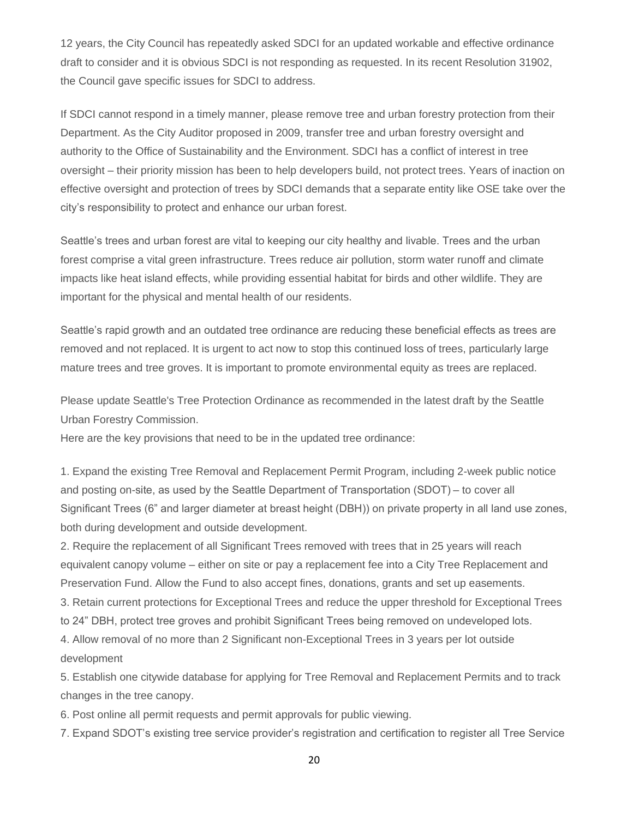12 years, the City Council has repeatedly asked SDCI for an updated workable and effective ordinance draft to consider and it is obvious SDCI is not responding as requested. In its recent Resolution 31902, the Council gave specific issues for SDCI to address.

If SDCI cannot respond in a timely manner, please remove tree and urban forestry protection from their Department. As the City Auditor proposed in 2009, transfer tree and urban forestry oversight and authority to the Office of Sustainability and the Environment. SDCI has a conflict of interest in tree oversight – their priority mission has been to help developers build, not protect trees. Years of inaction on effective oversight and protection of trees by SDCI demands that a separate entity like OSE take over the city's responsibility to protect and enhance our urban forest.

Seattle's trees and urban forest are vital to keeping our city healthy and livable. Trees and the urban forest comprise a vital green infrastructure. Trees reduce air pollution, storm water runoff and climate impacts like heat island effects, while providing essential habitat for birds and other wildlife. They are important for the physical and mental health of our residents.

Seattle's rapid growth and an outdated tree ordinance are reducing these beneficial effects as trees are removed and not replaced. It is urgent to act now to stop this continued loss of trees, particularly large mature trees and tree groves. It is important to promote environmental equity as trees are replaced.

Please update Seattle's Tree Protection Ordinance as recommended in the latest draft by the Seattle Urban Forestry Commission.

Here are the key provisions that need to be in the updated tree ordinance:

1. Expand the existing Tree Removal and Replacement Permit Program, including 2-week public notice and posting on-site, as used by the Seattle Department of Transportation (SDOT) – to cover all Significant Trees (6" and larger diameter at breast height (DBH)) on private property in all land use zones, both during development and outside development.

2. Require the replacement of all Significant Trees removed with trees that in 25 years will reach equivalent canopy volume – either on site or pay a replacement fee into a City Tree Replacement and Preservation Fund. Allow the Fund to also accept fines, donations, grants and set up easements.

3. Retain current protections for Exceptional Trees and reduce the upper threshold for Exceptional Trees to 24" DBH, protect tree groves and prohibit Significant Trees being removed on undeveloped lots.

4. Allow removal of no more than 2 Significant non-Exceptional Trees in 3 years per lot outside development

5. Establish one citywide database for applying for Tree Removal and Replacement Permits and to track changes in the tree canopy.

6. Post online all permit requests and permit approvals for public viewing.

7. Expand SDOT's existing tree service provider's registration and certification to register all Tree Service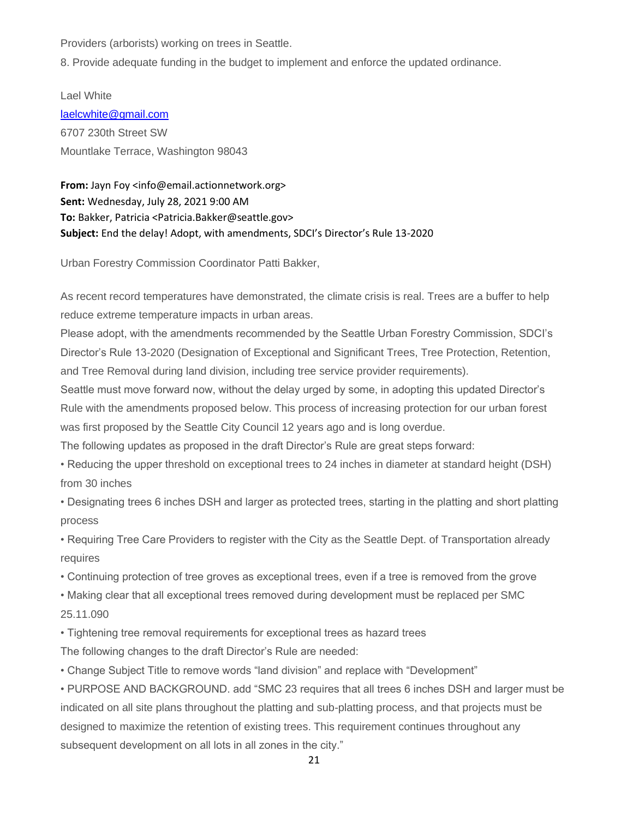Providers (arborists) working on trees in Seattle.

8. Provide adequate funding in the budget to implement and enforce the updated ordinance.

Lael White [laelcwhite@gmail.com](mailto:laelcwhite@gmail.com) 6707 230th Street SW Mountlake Terrace, Washington 98043

**From:** Jayn Foy <info@email.actionnetwork.org> **Sent:** Wednesday, July 28, 2021 9:00 AM **To:** Bakker, Patricia <Patricia.Bakker@seattle.gov> **Subject:** End the delay! Adopt, with amendments, SDCI's Director's Rule 13-2020

Urban Forestry Commission Coordinator Patti Bakker,

As recent record temperatures have demonstrated, the climate crisis is real. Trees are a buffer to help reduce extreme temperature impacts in urban areas.

Please adopt, with the amendments recommended by the Seattle Urban Forestry Commission, SDCI's Director's Rule 13-2020 (Designation of Exceptional and Significant Trees, Tree Protection, Retention, and Tree Removal during land division, including tree service provider requirements).

Seattle must move forward now, without the delay urged by some, in adopting this updated Director's Rule with the amendments proposed below. This process of increasing protection for our urban forest was first proposed by the Seattle City Council 12 years ago and is long overdue.

The following updates as proposed in the draft Director's Rule are great steps forward:

• Reducing the upper threshold on exceptional trees to 24 inches in diameter at standard height (DSH) from 30 inches

• Designating trees 6 inches DSH and larger as protected trees, starting in the platting and short platting process

• Requiring Tree Care Providers to register with the City as the Seattle Dept. of Transportation already requires

• Continuing protection of tree groves as exceptional trees, even if a tree is removed from the grove

• Making clear that all exceptional trees removed during development must be replaced per SMC 25.11.090

• Tightening tree removal requirements for exceptional trees as hazard trees

The following changes to the draft Director's Rule are needed:

• Change Subject Title to remove words "land division" and replace with "Development"

• PURPOSE AND BACKGROUND. add "SMC 23 requires that all trees 6 inches DSH and larger must be indicated on all site plans throughout the platting and sub-platting process, and that projects must be designed to maximize the retention of existing trees. This requirement continues throughout any subsequent development on all lots in all zones in the city."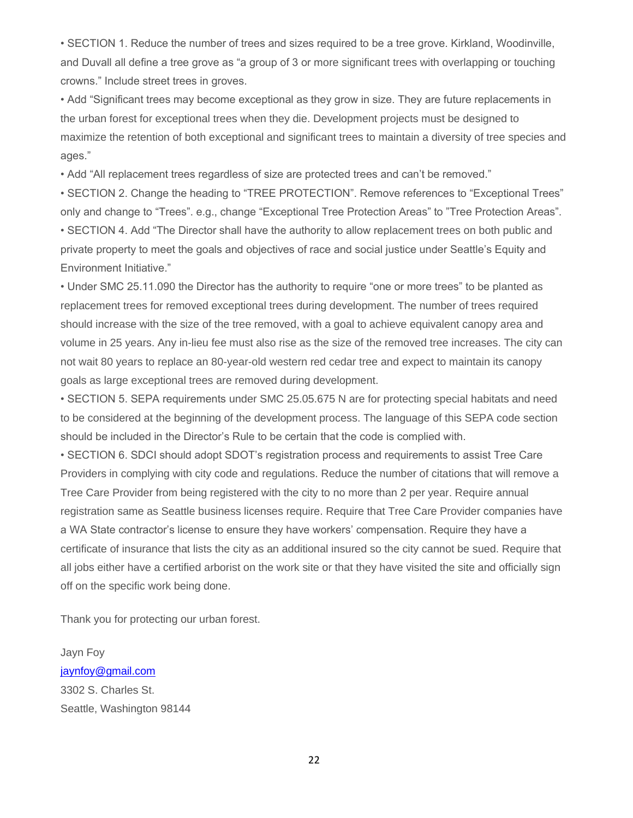• SECTION 1. Reduce the number of trees and sizes required to be a tree grove. Kirkland, Woodinville, and Duvall all define a tree grove as "a group of 3 or more significant trees with overlapping or touching crowns." Include street trees in groves.

• Add "Significant trees may become exceptional as they grow in size. They are future replacements in the urban forest for exceptional trees when they die. Development projects must be designed to maximize the retention of both exceptional and significant trees to maintain a diversity of tree species and ages."

• Add "All replacement trees regardless of size are protected trees and can't be removed."

• SECTION 2. Change the heading to "TREE PROTECTION". Remove references to "Exceptional Trees" only and change to "Trees". e.g., change "Exceptional Tree Protection Areas" to "Tree Protection Areas". • SECTION 4. Add "The Director shall have the authority to allow replacement trees on both public and private property to meet the goals and objectives of race and social justice under Seattle's Equity and Environment Initiative."

• Under SMC 25.11.090 the Director has the authority to require "one or more trees" to be planted as replacement trees for removed exceptional trees during development. The number of trees required should increase with the size of the tree removed, with a goal to achieve equivalent canopy area and volume in 25 years. Any in-lieu fee must also rise as the size of the removed tree increases. The city can not wait 80 years to replace an 80-year-old western red cedar tree and expect to maintain its canopy goals as large exceptional trees are removed during development.

• SECTION 5. SEPA requirements under SMC 25.05.675 N are for protecting special habitats and need to be considered at the beginning of the development process. The language of this SEPA code section should be included in the Director's Rule to be certain that the code is complied with.

• SECTION 6. SDCI should adopt SDOT's registration process and requirements to assist Tree Care Providers in complying with city code and regulations. Reduce the number of citations that will remove a Tree Care Provider from being registered with the city to no more than 2 per year. Require annual registration same as Seattle business licenses require. Require that Tree Care Provider companies have a WA State contractor's license to ensure they have workers' compensation. Require they have a certificate of insurance that lists the city as an additional insured so the city cannot be sued. Require that all jobs either have a certified arborist on the work site or that they have visited the site and officially sign off on the specific work being done.

Thank you for protecting our urban forest.

Jayn Foy [jaynfoy@gmail.com](mailto:jaynfoy@gmail.com) 3302 S. Charles St. Seattle, Washington 98144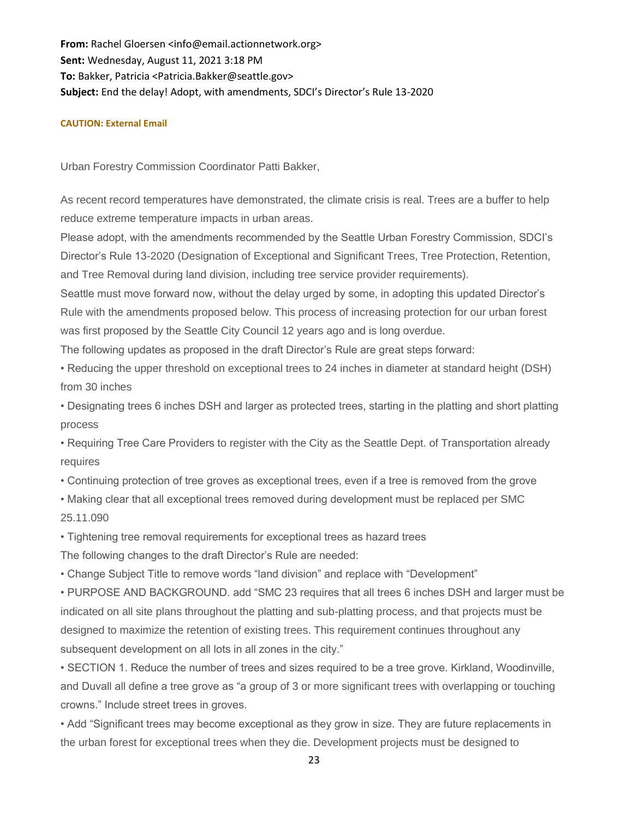**From:** Rachel Gloersen <info@email.actionnetwork.org> **Sent:** Wednesday, August 11, 2021 3:18 PM **To:** Bakker, Patricia <Patricia.Bakker@seattle.gov> **Subject:** End the delay! Adopt, with amendments, SDCI's Director's Rule 13-2020

#### **CAUTION: External Email**

Urban Forestry Commission Coordinator Patti Bakker,

As recent record temperatures have demonstrated, the climate crisis is real. Trees are a buffer to help reduce extreme temperature impacts in urban areas.

Please adopt, with the amendments recommended by the Seattle Urban Forestry Commission, SDCI's Director's Rule 13-2020 (Designation of Exceptional and Significant Trees, Tree Protection, Retention, and Tree Removal during land division, including tree service provider requirements).

Seattle must move forward now, without the delay urged by some, in adopting this updated Director's Rule with the amendments proposed below. This process of increasing protection for our urban forest was first proposed by the Seattle City Council 12 years ago and is long overdue.

The following updates as proposed in the draft Director's Rule are great steps forward:

• Reducing the upper threshold on exceptional trees to 24 inches in diameter at standard height (DSH) from 30 inches

• Designating trees 6 inches DSH and larger as protected trees, starting in the platting and short platting process

• Requiring Tree Care Providers to register with the City as the Seattle Dept. of Transportation already requires

• Continuing protection of tree groves as exceptional trees, even if a tree is removed from the grove

• Making clear that all exceptional trees removed during development must be replaced per SMC 25.11.090

• Tightening tree removal requirements for exceptional trees as hazard trees

The following changes to the draft Director's Rule are needed:

• Change Subject Title to remove words "land division" and replace with "Development"

• PURPOSE AND BACKGROUND. add "SMC 23 requires that all trees 6 inches DSH and larger must be indicated on all site plans throughout the platting and sub-platting process, and that projects must be designed to maximize the retention of existing trees. This requirement continues throughout any subsequent development on all lots in all zones in the city."

• SECTION 1. Reduce the number of trees and sizes required to be a tree grove. Kirkland, Woodinville, and Duvall all define a tree grove as "a group of 3 or more significant trees with overlapping or touching crowns." Include street trees in groves.

• Add "Significant trees may become exceptional as they grow in size. They are future replacements in the urban forest for exceptional trees when they die. Development projects must be designed to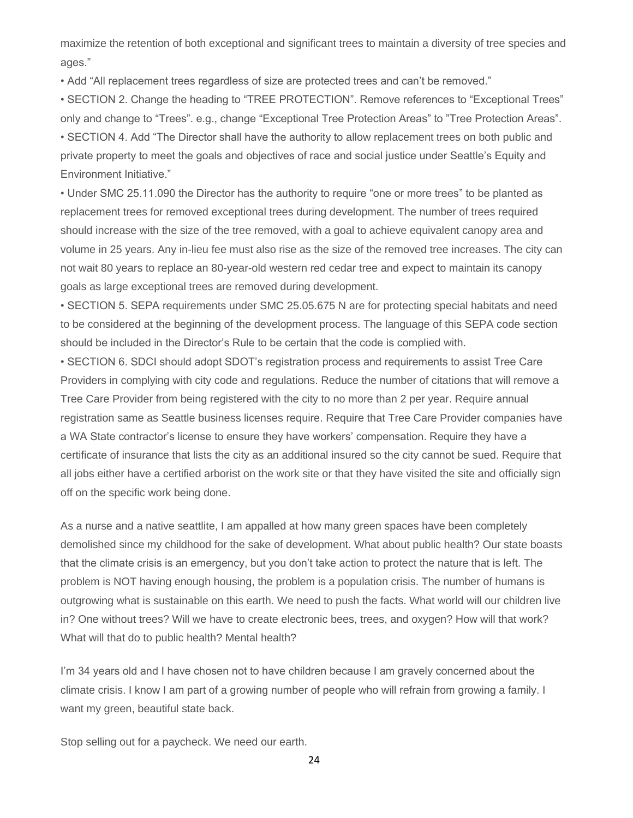maximize the retention of both exceptional and significant trees to maintain a diversity of tree species and ages."

• Add "All replacement trees regardless of size are protected trees and can't be removed."

• SECTION 2. Change the heading to "TREE PROTECTION". Remove references to "Exceptional Trees" only and change to "Trees". e.g., change "Exceptional Tree Protection Areas" to "Tree Protection Areas". • SECTION 4. Add "The Director shall have the authority to allow replacement trees on both public and private property to meet the goals and objectives of race and social justice under Seattle's Equity and Environment Initiative."

• Under SMC 25.11.090 the Director has the authority to require "one or more trees" to be planted as replacement trees for removed exceptional trees during development. The number of trees required should increase with the size of the tree removed, with a goal to achieve equivalent canopy area and volume in 25 years. Any in-lieu fee must also rise as the size of the removed tree increases. The city can not wait 80 years to replace an 80-year-old western red cedar tree and expect to maintain its canopy goals as large exceptional trees are removed during development.

• SECTION 5. SEPA requirements under SMC 25.05.675 N are for protecting special habitats and need to be considered at the beginning of the development process. The language of this SEPA code section should be included in the Director's Rule to be certain that the code is complied with.

• SECTION 6. SDCI should adopt SDOT's registration process and requirements to assist Tree Care Providers in complying with city code and regulations. Reduce the number of citations that will remove a Tree Care Provider from being registered with the city to no more than 2 per year. Require annual registration same as Seattle business licenses require. Require that Tree Care Provider companies have a WA State contractor's license to ensure they have workers' compensation. Require they have a certificate of insurance that lists the city as an additional insured so the city cannot be sued. Require that all jobs either have a certified arborist on the work site or that they have visited the site and officially sign off on the specific work being done.

As a nurse and a native seattlite, I am appalled at how many green spaces have been completely demolished since my childhood for the sake of development. What about public health? Our state boasts that the climate crisis is an emergency, but you don't take action to protect the nature that is left. The problem is NOT having enough housing, the problem is a population crisis. The number of humans is outgrowing what is sustainable on this earth. We need to push the facts. What world will our children live in? One without trees? Will we have to create electronic bees, trees, and oxygen? How will that work? What will that do to public health? Mental health?

I'm 34 years old and I have chosen not to have children because I am gravely concerned about the climate crisis. I know I am part of a growing number of people who will refrain from growing a family. I want my green, beautiful state back.

Stop selling out for a paycheck. We need our earth.